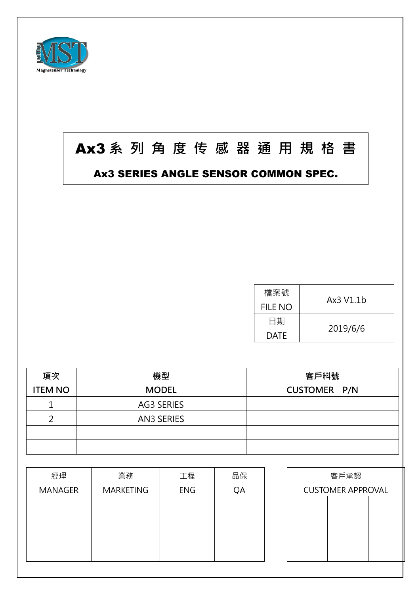

## Ax3 系 列 角 度 传 感 器 通 用 規 格 書

## Ax3 SERIES ANGLE SENSOR COMMON SPEC.

| 檔案號         | Ax3 V1.1b |  |
|-------------|-----------|--|
| FILE NO     |           |  |
| 日期          | 2019/6/6  |  |
| <b>DATE</b> |           |  |

| 項次             | 機型                | 客戶料號                |
|----------------|-------------------|---------------------|
| <b>ITEM NO</b> | <b>MODEL</b>      | <b>CUSTOMER P/N</b> |
|                | AG3 SERIES        |                     |
| ⌒              | <b>AN3 SERIES</b> |                     |
|                |                   |                     |
|                |                   |                     |

| 經理             | 業務        | 工程         | 品保 |                          | 客戶承認 |  |
|----------------|-----------|------------|----|--------------------------|------|--|
| <b>MANAGER</b> | MARKETING | <b>ENG</b> | QA | <b>CUSTOMER APPROVAL</b> |      |  |
|                |           |            |    |                          |      |  |
|                |           |            |    |                          |      |  |
|                |           |            |    |                          |      |  |
|                |           |            |    |                          |      |  |
|                |           |            |    |                          |      |  |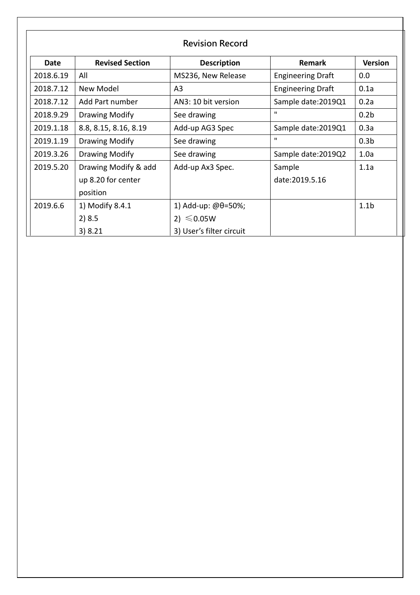| <b>Revision Record</b> |                        |                          |                          |                  |  |  |
|------------------------|------------------------|--------------------------|--------------------------|------------------|--|--|
| <b>Date</b>            | <b>Revised Section</b> | <b>Description</b>       | <b>Remark</b>            | <b>Version</b>   |  |  |
| 2018.6.19              | All                    | MS236, New Release       | <b>Engineering Draft</b> | 0.0              |  |  |
| 2018.7.12              | New Model              | A <sub>3</sub>           | <b>Engineering Draft</b> | 0.1a             |  |  |
| 2018.7.12              | Add Part number        | AN3: 10 bit version      | Sample date: 2019Q1      | 0.2a             |  |  |
| 2018.9.29              | Drawing Modify         | See drawing              | $\mathbf{u}$             | 0.2 <sub>b</sub> |  |  |
| 2019.1.18              | 8.8, 8.15, 8.16, 8.19  | Add-up AG3 Spec          | Sample date: 2019Q1      | 0.3a             |  |  |
| 2019.1.19              | Drawing Modify         | See drawing              | $\mathbf{u}$             | 0.3 <sub>b</sub> |  |  |
| 2019.3.26              | Drawing Modify         | See drawing              | Sample date: 2019Q2      | 1.0a             |  |  |
| 2019.5.20              | Drawing Modify & add   | Add-up Ax3 Spec.         | Sample                   | 1.1a             |  |  |
|                        | up 8.20 for center     |                          | date:2019.5.16           |                  |  |  |
|                        | position               |                          |                          |                  |  |  |
| 2019.6.6               | 1) Modify 8.4.1        | 1) Add-up: $@0=50\%;$    |                          | 1.1 <sub>b</sub> |  |  |
|                        | 2)8.5                  | 2) $\leq 0.05W$          |                          |                  |  |  |
|                        | 3)8.21                 | 3) User's filter circuit |                          |                  |  |  |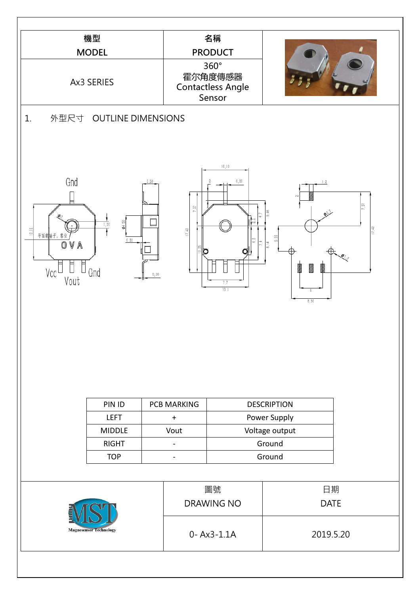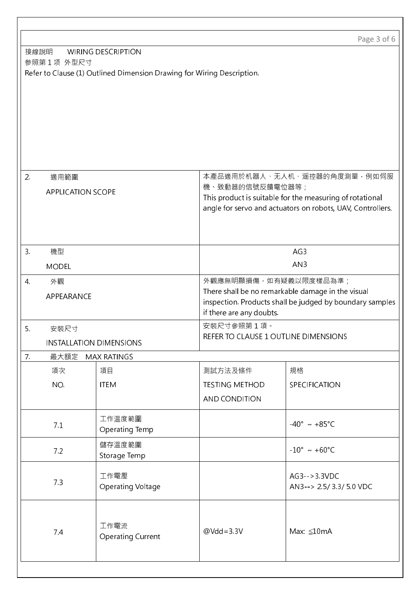|                  |                                                                                      |                                                                        |                       | Page 3 of 6                                                |  |  |
|------------------|--------------------------------------------------------------------------------------|------------------------------------------------------------------------|-----------------------|------------------------------------------------------------|--|--|
|                  | 接線說明<br><b>WIRING DESCRIPTION</b>                                                    |                                                                        |                       |                                                            |  |  |
|                  | 参照第1项 外型尺寸                                                                           |                                                                        |                       |                                                            |  |  |
|                  |                                                                                      | Refer to Clause (1) Outlined Dimension Drawing for Wiring Description. |                       |                                                            |  |  |
|                  |                                                                                      |                                                                        |                       |                                                            |  |  |
|                  |                                                                                      |                                                                        |                       |                                                            |  |  |
|                  |                                                                                      |                                                                        |                       |                                                            |  |  |
|                  |                                                                                      |                                                                        |                       |                                                            |  |  |
|                  |                                                                                      |                                                                        |                       |                                                            |  |  |
|                  |                                                                                      |                                                                        |                       |                                                            |  |  |
| 2 <sup>1</sup>   | 適用範圍                                                                                 |                                                                        |                       | 本產品適用於机器人、无人机、遥控器的角度測量,例如伺服                                |  |  |
|                  | <b>APPLICATION SCOPE</b>                                                             |                                                                        | 機、致動器的信號反饋電位器等;       |                                                            |  |  |
|                  |                                                                                      |                                                                        |                       | This product is suitable for the measuring of rotational   |  |  |
|                  |                                                                                      |                                                                        |                       | angle for servo and actuators on robots, UAV, Controllers. |  |  |
|                  |                                                                                      |                                                                        |                       |                                                            |  |  |
|                  |                                                                                      |                                                                        |                       |                                                            |  |  |
| 3.               | 機型                                                                                   |                                                                        |                       | AG3                                                        |  |  |
|                  | <b>MODEL</b>                                                                         |                                                                        |                       | AN <sub>3</sub>                                            |  |  |
| $\overline{4}$ . | 外觀                                                                                   |                                                                        |                       | 外觀應無明顯損傷, 如有疑義以限度樣品為準;                                     |  |  |
|                  | APPEARANCE                                                                           |                                                                        |                       | There shall be no remarkable damage in the visual          |  |  |
|                  | inspection. Products shall be judged by boundary samples<br>if there are any doubts. |                                                                        |                       |                                                            |  |  |
| 5.               | 安裝尺寸                                                                                 |                                                                        | 安装尺寸參照第1項·            |                                                            |  |  |
|                  |                                                                                      | <b>INSTALLATION DIMENSIONS</b>                                         |                       | REFER TO CLAUSE 1 OUTLINE DIMENSIONS                       |  |  |
|                  |                                                                                      |                                                                        |                       |                                                            |  |  |
| 7 <sub>1</sub>   | 最大額定                                                                                 | <b>MAX RATINGS</b>                                                     |                       |                                                            |  |  |
|                  | 項次                                                                                   | 項目                                                                     | 測試方法及條件               | 規格                                                         |  |  |
|                  | NO.                                                                                  | <b>ITEM</b>                                                            | <b>TESTING METHOD</b> | SPECIFICATION                                              |  |  |
|                  |                                                                                      |                                                                        | AND CONDITION         |                                                            |  |  |
|                  |                                                                                      | 工作溫度範圍                                                                 |                       | $-40^{\circ} \sim +85^{\circ}$ C                           |  |  |
|                  | 7.1                                                                                  | Operating Temp                                                         |                       |                                                            |  |  |
|                  | 7.2                                                                                  | 儲存溫度範圍                                                                 |                       | $-10^{\circ} \sim +60^{\circ}C$                            |  |  |
|                  |                                                                                      | Storage Temp                                                           |                       |                                                            |  |  |
|                  |                                                                                      | 工作電壓                                                                   |                       | $AG3 - >3.3VDC$                                            |  |  |
|                  | 7.3                                                                                  | Operating Voltage                                                      |                       | AN3--> 2.5/3.3/5.0 VDC                                     |  |  |
|                  |                                                                                      |                                                                        |                       |                                                            |  |  |
|                  |                                                                                      |                                                                        |                       |                                                            |  |  |
|                  | 7.4                                                                                  | 工作電流                                                                   | $@Vdd = 3.3V$         | Max: ≤10mA                                                 |  |  |
|                  |                                                                                      | <b>Operating Current</b>                                               |                       |                                                            |  |  |
|                  |                                                                                      |                                                                        |                       |                                                            |  |  |
|                  |                                                                                      |                                                                        |                       |                                                            |  |  |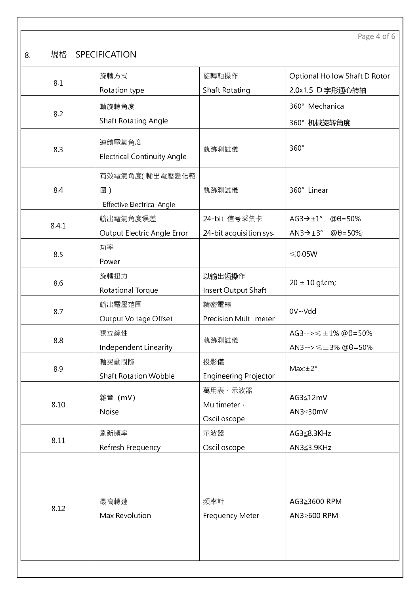Page 4 of 6

|8. 規格 SPECIFICATION

|       | 旋轉方式                               | 旋轉軸操作                        | Optional Hollow Shaft D Rotor                   |  |
|-------|------------------------------------|------------------------------|-------------------------------------------------|--|
| 8.1   | Rotation type                      | Shaft Rotating               | 2.0x1.5 'D'字形通心转轴                               |  |
|       | 軸旋轉角度                              |                              | 360° Mechanical                                 |  |
| 8.2   | Shaft Rotating Angle               |                              |                                                 |  |
|       |                                    |                              | 360°机械旋转角度                                      |  |
| 8.3   | 連續電氣角度                             | 軌跡測試儀                        | 360°                                            |  |
|       | <b>Electrical Continuity Angle</b> |                              |                                                 |  |
|       | 有效電氣角度(輸出電壓變化範                     |                              |                                                 |  |
| 8.4   | 圍)                                 | 軌跡測試儀                        | 360° Linear                                     |  |
|       | <b>Effective Electrical Angle</b>  |                              |                                                 |  |
|       | 輸出電氣角度误差                           | 24-bit 信号采集卡                 | $@θ = 50%$<br>$AG3 \rightarrow \pm 1^{\circ}$   |  |
| 8.4.1 | Output Electric Angle Error        | 24-bit acquisition sys.      | $AN3 \rightarrow \pm 3^{\circ}$<br>$@θ = 50\%;$ |  |
| 8.5   | 功率                                 |                              | $≤ 0.05W$                                       |  |
|       | Power                              |                              |                                                 |  |
| 8.6   | 旋轉扭力                               | 以输出齿操作                       | $20 \pm 10$ gf.cm;                              |  |
|       | Rotational Torque                  | Insert Output Shaft          |                                                 |  |
| 8.7   | 輸出電壓范围                             | 精密電錶                         | 0V~Vdd                                          |  |
|       | Output Voltage Offset              | Precision Multi-meter        |                                                 |  |
| 8.8   | 獨立線性                               | 軌跡測試儀                        | $AG3 -> \leq \pm 1\%$ @ $\theta = 50\%$         |  |
|       | Independent Linearity              |                              | AN3--> $\leq \pm 3\%$ @ $\theta$ =50%           |  |
| 8.9   | 軸晃動間隙                              | 投影儀                          | Max.±2°                                         |  |
|       | <b>Shaft Rotation Wobble</b>       | <b>Engineering Projector</b> |                                                 |  |
|       | 雜音 (mV)                            | 萬用表、示波器                      | AG3≦12mV                                        |  |
| 8.10  | Noise                              | Multimeter ·                 | AN3≦30mV                                        |  |
|       |                                    | Oscilloscope                 |                                                 |  |
| 8.11  | 刷新頻率                               | 示波器                          | AG3≦8.3KHz                                      |  |
|       | Refresh Frequency                  | Oscilloscope                 | AN3≦3.9KHz                                      |  |
|       |                                    |                              |                                                 |  |
|       |                                    |                              |                                                 |  |
|       | 最高轉速                               | 頻率計                          | AG3≧3600 RPM                                    |  |
| 8.12  | Max Revolution                     | Frequency Meter              | AN3≥600 RPM                                     |  |
|       |                                    |                              |                                                 |  |
|       |                                    |                              |                                                 |  |
|       |                                    |                              |                                                 |  |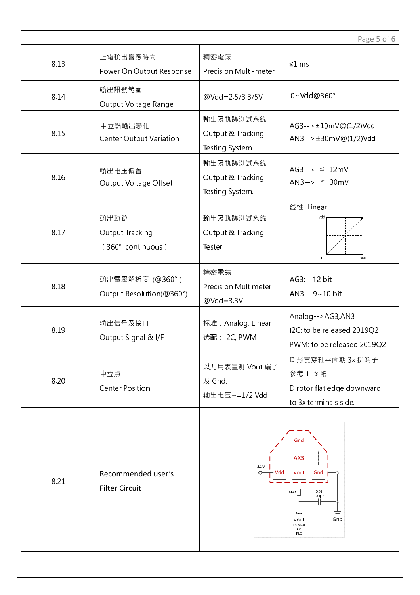|      |                                              |                                                      | Page 5 of 6                                                                                                          |
|------|----------------------------------------------|------------------------------------------------------|----------------------------------------------------------------------------------------------------------------------|
| 8.13 | 上電輸出響應時間<br>Power On Output Response         | 精密電錶<br>Precision Multi-meter                        | ≤1 ms                                                                                                                |
| 8.14 | 輸出訊號範圍<br>Output Voltage Range               | @Vdd=2.5/3.3/5V                                      | 0~Vdd@360°                                                                                                           |
| 8.15 | 中立點輸出變化<br><b>Center Output Variation</b>    | 輸出及軌跡測試系統<br>Output & Tracking<br>Testing System     | $AG3--+10mV@(1/2)Vdd$<br>$AN3--+30mV@(1/2)Vdd$                                                                       |
| 8.16 | 輸出电压偏置<br>Output Voltage Offset              | 輸出及軌跡測試系統<br>Output & Tracking<br>Testing System.    | $AG3 \rightarrow \cong 12mV$<br>$ANS\rightarrow \cong 30mV$                                                          |
| 8.17 | 輸出軌跡<br>Output Tracking<br>(360° continuous) | 輸出及軌跡測試系統<br>Output & Tracking<br>Tester             | 线性 Linear<br>vdd<br>$\pmb{0}$<br>360                                                                                 |
| 8.18 | 輸出電壓解析度 (@360°)<br>Output Resolution(@360°)  | 精密電錶<br><b>Precision Multimeter</b><br>$@Vdd = 3.3V$ | AG3: 12 bit<br>AN3: 9~10 bit                                                                                         |
| 8.19 | 输出信号及接口<br>Output Signal & I/F               | 标准: Analog, Linear<br>选配: I2C, PWM                   | Analog-->AG3,AN3<br>I2C: to be released 2019Q2<br>PWM: to be released 2019Q2                                         |
| 8.20 | 中立点<br><b>Center Position</b>                | 以万用表量测 Vout 端子<br>及 Gnd:<br>输出电压~=1/2 Vdd            | D 形贯穿轴平面朝 3x 排端子<br>参考1图纸<br>D rotor flat edge downward<br>to 3x terminals side.                                     |
| 8.21 | Recommended user's<br><b>Filter Circuit</b>  | 3.3V<br>ᡐ<br>Vdd                                     | Gnd<br>AX3<br>Vout<br>Gnd<br>$0.01^\sim$<br>$10K\Omega$<br>$0.1 \mu F$<br>V---<br>Gnd<br>Vout<br>To MCU<br>Or<br>PLC |